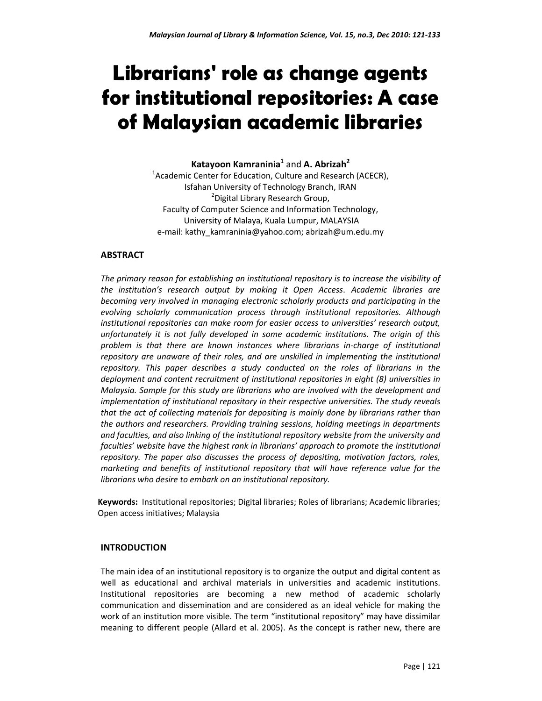# **Librarians' role as change agents for institutional repositories: A case of Malaysian academic libraries**

**Katayoon Kamraninia<sup>1</sup>** and **A. Abrizah<sup>2</sup>**

 $1$ Academic Center for Education, Culture and Research (ACECR), Isfahan University of Technology Branch, IRAN <sup>2</sup> Digital Library Research Group, Faculty of Computer Science and Information Technology, University of Malaya, Kuala Lumpur, MALAYSIA e-mail: kathy\_kamraninia@yahoo.com; abrizah@um.edu.my

# **ABSTRACT**

*The primary reason for establishing an institutional repository is to increase the visibility of the institution's research output by making it Open Access*. *Academic libraries are becoming very involved in managing electronic scholarly products and participating in the evolving scholarly communication process through institutional repositories. Although institutional repositories can make room for easier access to universities' research output, unfortunately it is not fully developed in some academic institutions. The origin of this problem is that there are known instances where librarians in-charge of institutional repository are unaware of their roles, and are unskilled in implementing the institutional repository. This paper describes a study conducted on the roles of librarians in the deployment and content recruitment of institutional repositories in eight (8) universities in Malaysia. Sample for this study are librarians who are involved with the development and implementation of institutional repository in their respective universities. The study reveals that the act of collecting materials for depositing is mainly done by librarians rather than the authors and researchers. Providing training sessions, holding meetings in departments and faculties, and also linking of the institutional repository website from the university and faculties' website have the highest rank in librarians' approach to promote the institutional repository. The paper also discusses the process of depositing, motivation factors, roles, marketing and benefits of institutional repository that will have reference value for the librarians who desire to embark on an institutional repository.* 

**Keywords:** Institutional repositories; Digital libraries; Roles of librarians; Academic libraries; Open access initiatives; Malaysia

# **INTRODUCTION**

The main idea of an institutional repository is to organize the output and digital content as well as educational and archival materials in universities and academic institutions. Institutional repositories are becoming a new method of academic scholarly communication and dissemination and are considered as an ideal vehicle for making the work of an institution more visible. The term "institutional repository" may have dissimilar meaning to different people (Allard et al. 2005). As the concept is rather new, there are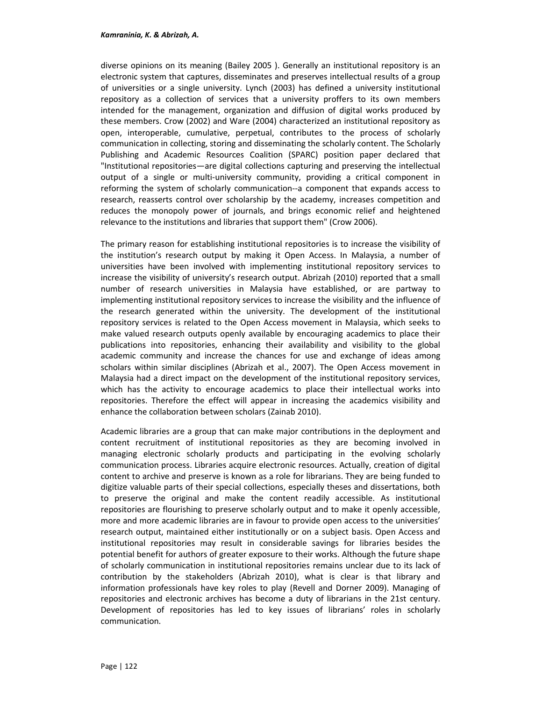#### *Kamraninia, K. & Abrizah, A.*

diverse opinions on its meaning (Bailey 2005 ). Generally an institutional repository is an electronic system that captures, disseminates and preserves intellectual results of a group of universities or a single university. Lynch (2003) has defined a university institutional repository as a collection of services that a university proffers to its own members intended for the management, organization and diffusion of digital works produced by these members. Crow (2002) and Ware (2004) characterized an institutional repository as open, interoperable, cumulative, perpetual, contributes to the process of scholarly communication in collecting, storing and disseminating the scholarly content. The Scholarly Publishing and Academic Resources Coalition (SPARC) position paper declared that "Institutional repositories—are digital collections capturing and preserving the intellectual output of a single or multi-university community, providing a critical component in reforming the system of scholarly communication--a component that expands access to research, reasserts control over scholarship by the academy, increases competition and reduces the monopoly power of journals, and brings economic relief and heightened relevance to the institutions and libraries that support them" (Crow 2006).

The primary reason for establishing institutional repositories is to increase the visibility of the institution's research output by making it Open Access. In Malaysia, a number of universities have been involved with implementing institutional repository services to increase the visibility of university's research output. Abrizah (2010) reported that a small number of research universities in Malaysia have established, or are partway to implementing institutional repository services to increase the visibility and the influence of the research generated within the university. The development of the institutional repository services is related to the Open Access movement in Malaysia, which seeks to make valued research outputs openly available by encouraging academics to place their publications into repositories, enhancing their availability and visibility to the global academic community and increase the chances for use and exchange of ideas among scholars within similar disciplines (Abrizah et al., 2007). The Open Access movement in Malaysia had a direct impact on the development of the institutional repository services, which has the activity to encourage academics to place their intellectual works into repositories. Therefore the effect will appear in increasing the academics visibility and enhance the collaboration between scholars (Zainab 2010).

Academic libraries are a group that can make major contributions in the deployment and content recruitment of institutional repositories as they are becoming involved in managing electronic scholarly products and participating in the evolving scholarly communication process. Libraries acquire electronic resources. Actually, creation of digital content to archive and preserve is known as a role for librarians. They are being funded to digitize valuable parts of their special collections, especially theses and dissertations, both to preserve the original and make the content readily accessible. As institutional repositories are flourishing to preserve scholarly output and to make it openly accessible, more and more academic libraries are in favour to provide open access to the universities' research output, maintained either institutionally or on a subject basis. Open Access and institutional repositories may result in considerable savings for libraries besides the potential benefit for authors of greater exposure to their works. Although the future shape of scholarly communication in institutional repositories remains unclear due to its lack of contribution by the stakeholders (Abrizah 2010), what is clear is that library and information professionals have key roles to play (Revell and Dorner 2009). Managing of repositories and electronic archives has become a duty of librarians in the 21st century. Development of repositories has led to key issues of librarians' roles in scholarly communication.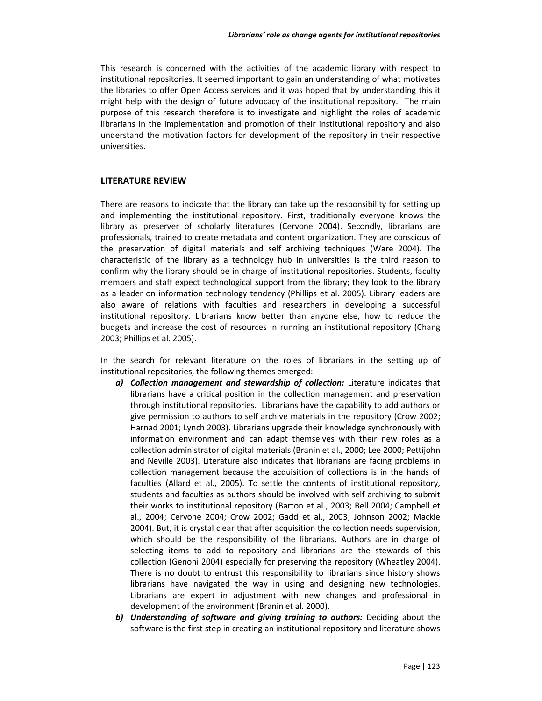This research is concerned with the activities of the academic library with respect to institutional repositories. It seemed important to gain an understanding of what motivates the libraries to offer Open Access services and it was hoped that by understanding this it might help with the design of future advocacy of the institutional repository. The main purpose of this research therefore is to investigate and highlight the roles of academic librarians in the implementation and promotion of their institutional repository and also understand the motivation factors for development of the repository in their respective universities.

#### **LITERATURE REVIEW**

There are reasons to indicate that the library can take up the responsibility for setting up and implementing the institutional repository. First, traditionally everyone knows the library as preserver of scholarly literatures (Cervone 2004). Secondly, librarians are professionals, trained to create metadata and content organization. They are conscious of the preservation of digital materials and self archiving techniques (Ware 2004). The characteristic of the library as a technology hub in universities is the third reason to confirm why the library should be in charge of institutional repositories. Students, faculty members and staff expect technological support from the library; they look to the library as a leader on information technology tendency (Phillips et al. 2005). Library leaders are also aware of relations with faculties and researchers in developing a successful institutional repository. Librarians know better than anyone else, how to reduce the budgets and increase the cost of resources in running an institutional repository (Chang 2003; Phillips et al. 2005).

In the search for relevant literature on the roles of librarians in the setting up of institutional repositories, the following themes emerged:

- *a) Collection management and stewardship of collection:* Literature indicates that librarians have a critical position in the collection management and preservation through institutional repositories. Librarians have the capability to add authors or give permission to authors to self archive materials in the repository (Crow 2002; Harnad 2001; Lynch 2003). Librarians upgrade their knowledge synchronously with information environment and can adapt themselves with their new roles as a collection administrator of digital materials (Branin et al., 2000; Lee 2000; Pettijohn and Neville 2003). Literature also indicates that librarians are facing problems in collection management because the acquisition of collections is in the hands of faculties (Allard et al., 2005). To settle the contents of institutional repository, students and faculties as authors should be involved with self archiving to submit their works to institutional repository (Barton et al., 2003; Bell 2004; Campbell et al., 2004; Cervone 2004; Crow 2002; Gadd et al., 2003; Johnson 2002; Mackie 2004). But, it is crystal clear that after acquisition the collection needs supervision, which should be the responsibility of the librarians. Authors are in charge of selecting items to add to repository and librarians are the stewards of this collection (Genoni 2004) especially for preserving the repository (Wheatley 2004). There is no doubt to entrust this responsibility to librarians since history shows librarians have navigated the way in using and designing new technologies. Librarians are expert in adjustment with new changes and professional in development of the environment (Branin et al. 2000).
- *b) Understanding of software and giving training to authors:* Deciding about the software is the first step in creating an institutional repository and literature shows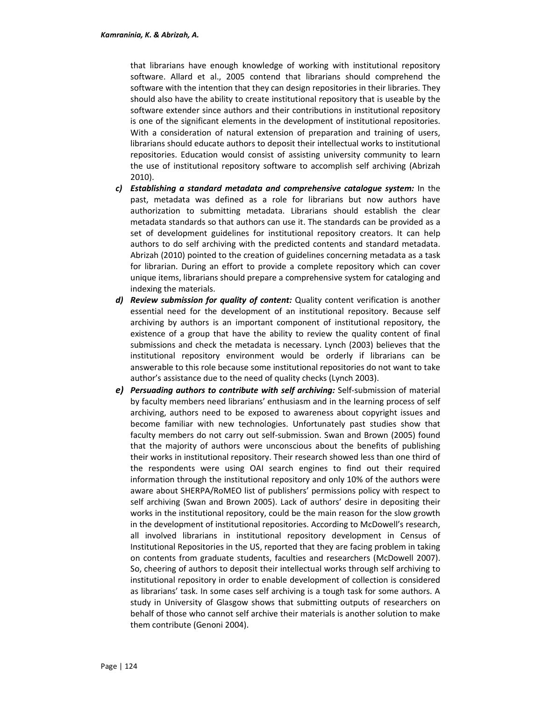that librarians have enough knowledge of working with institutional repository software. Allard et al., 2005 contend that librarians should comprehend the software with the intention that they can design repositories in their libraries. They should also have the ability to create institutional repository that is useable by the software extender since authors and their contributions in institutional repository is one of the significant elements in the development of institutional repositories. With a consideration of natural extension of preparation and training of users, librarians should educate authors to deposit their intellectual works to institutional repositories. Education would consist of assisting university community to learn the use of institutional repository software to accomplish self archiving (Abrizah 2010).

- *c) Establishing a standard metadata and comprehensive catalogue system:* In the past, metadata was defined as a role for librarians but now authors have authorization to submitting metadata. Librarians should establish the clear metadata standards so that authors can use it. The standards can be provided as a set of development guidelines for institutional repository creators. It can help authors to do self archiving with the predicted contents and standard metadata. Abrizah (2010) pointed to the creation of guidelines concerning metadata as a task for librarian. During an effort to provide a complete repository which can cover unique items, librarians should prepare a comprehensive system for cataloging and indexing the materials.
- *d) Review submission for quality of content:* Quality content verification is another essential need for the development of an institutional repository. Because self archiving by authors is an important component of institutional repository, the existence of a group that have the ability to review the quality content of final submissions and check the metadata is necessary. Lynch (2003) believes that the institutional repository environment would be orderly if librarians can be answerable to this role because some institutional repositories do not want to take author's assistance due to the need of quality checks (Lynch 2003).
- *e) Persuading authors to contribute with self archiving:* Self-submission of material by faculty members need librarians' enthusiasm and in the learning process of self archiving, authors need to be exposed to awareness about copyright issues and become familiar with new technologies. Unfortunately past studies show that faculty members do not carry out self-submission. Swan and Brown (2005) found that the majority of authors were unconscious about the benefits of publishing their works in institutional repository. Their research showed less than one third of the respondents were using OAI search engines to find out their required information through the institutional repository and only 10% of the authors were aware about SHERPA/RoMEO list of publishers' permissions policy with respect to self archiving (Swan and Brown 2005). Lack of authors' desire in depositing their works in the institutional repository, could be the main reason for the slow growth in the development of institutional repositories. According to McDowell's research, all involved librarians in institutional repository development in Census of Institutional Repositories in the US, reported that they are facing problem in taking on contents from graduate students, faculties and researchers (McDowell 2007). So, cheering of authors to deposit their intellectual works through self archiving to institutional repository in order to enable development of collection is considered as librarians' task. In some cases self archiving is a tough task for some authors. A study in University of Glasgow shows that submitting outputs of researchers on behalf of those who cannot self archive their materials is another solution to make them contribute (Genoni 2004).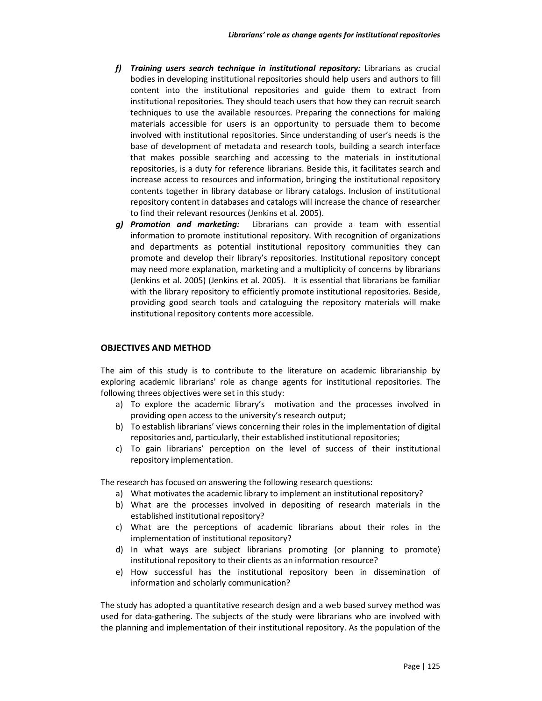- *f) Training users search technique in institutional repository:* Librarians as crucial bodies in developing institutional repositories should help users and authors to fill content into the institutional repositories and guide them to extract from institutional repositories. They should teach users that how they can recruit search techniques to use the available resources. Preparing the connections for making materials accessible for users is an opportunity to persuade them to become involved with institutional repositories. Since understanding of user's needs is the base of development of metadata and research tools, building a search interface that makes possible searching and accessing to the materials in institutional repositories, is a duty for reference librarians. Beside this, it facilitates search and increase access to resources and information, bringing the institutional repository contents together in library database or library catalogs. Inclusion of institutional repository content in databases and catalogs will increase the chance of researcher to find their relevant resources (Jenkins et al. 2005).
- *g) Promotion and marketing:*Librarians can provide a team with essential information to promote institutional repository. With recognition of organizations and departments as potential institutional repository communities they can promote and develop their library's repositories. Institutional repository concept may need more explanation, marketing and a multiplicity of concerns by librarians (Jenkins et al. 2005) (Jenkins et al. 2005). It is essential that librarians be familiar with the library repository to efficiently promote institutional repositories. Beside, providing good search tools and cataloguing the repository materials will make institutional repository contents more accessible.

#### **OBJECTIVES AND METHOD**

The aim of this study is to contribute to the literature on academic librarianship by exploring academic librarians' role as change agents for institutional repositories. The following threes objectives were set in this study:

- a) To explore the academic library's motivation and the processes involved in providing open access to the university's research output;
- b) To establish librarians' views concerning their roles in the implementation of digital repositories and, particularly, their established institutional repositories;
- c) To gain librarians' perception on the level of success of their institutional repository implementation.

The research has focused on answering the following research questions:

- a) What motivates the academic library to implement an institutional repository?
- b) What are the processes involved in depositing of research materials in the established institutional repository?
- c) What are the perceptions of academic librarians about their roles in the implementation of institutional repository?
- d) In what ways are subject librarians promoting (or planning to promote) institutional repository to their clients as an information resource?
- e) How successful has the institutional repository been in dissemination of information and scholarly communication?

The study has adopted a quantitative research design and a web based survey method was used for data-gathering. The subjects of the study were librarians who are involved with the planning and implementation of their institutional repository. As the population of the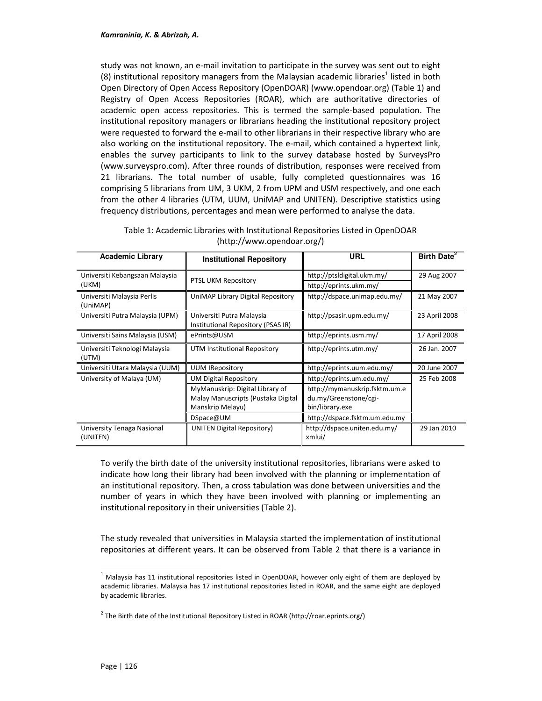study was not known, an e-mail invitation to participate in the survey was sent out to eight (8) institutional repository managers from the Malaysian academic libraries<sup>1</sup> listed in both Open Directory of Open Access Repository (OpenDOAR) (www.opendoar.org) (Table 1) and Registry of Open Access Repositories (ROAR), which are authoritative directories of academic open access repositories. This is termed the sample-based population. The institutional repository managers or librarians heading the institutional repository project were requested to forward the e-mail to other librarians in their respective library who are also working on the institutional repository. The e-mail, which contained a hypertext link, enables the survey participants to link to the survey database hosted by SurveysPro (www.surveyspro.com). After three rounds of distribution, responses were received from 21 librarians. The total number of usable, fully completed questionnaires was 16 comprising 5 librarians from UM, 3 UKM, 2 from UPM and USM respectively, and one each from the other 4 libraries (UTM, UUM, UniMAP and UNITEN). Descriptive statistics using frequency distributions, percentages and mean were performed to analyse the data.

| <b>Academic Library</b>                | <b>Institutional Repository</b>                                 | URL                                    | Birth Date <sup>2</sup> |
|----------------------------------------|-----------------------------------------------------------------|----------------------------------------|-------------------------|
| Universiti Kebangsaan Malaysia         |                                                                 | http://ptsidigital.ukm.my/             | 29 Aug 2007             |
| (UKM)                                  | PTSL UKM Repository                                             | http://eprints.ukm.my/                 |                         |
| Universiti Malaysia Perlis<br>(UniMAP) | UniMAP Library Digital Repository                               | http://dspace.unimap.edu.my/           | 21 May 2007             |
| Universiti Putra Malaysia (UPM)        | Universiti Putra Malaysia<br>Institutional Repository (PSAS IR) | http://psasir.upm.edu.my/              | 23 April 2008           |
| Universiti Sains Malaysia (USM)        | ePrints@USM                                                     | http://eprints.usm.my/                 | 17 April 2008           |
| Universiti Teknologi Malaysia<br>(UTM) | UTM Institutional Repository                                    | http://eprints.utm.my/                 | 26 Jan. 2007            |
| Universiti Utara Malaysia (UUM)        | <b>UUM IRepository</b>                                          | http://eprints.uum.edu.my/             | 20 June 2007            |
| University of Malaya (UM)              | <b>UM Digital Repository</b>                                    | http://eprints.um.edu.my/              | 25 Feb 2008             |
|                                        | MyManuskrip: Digital Library of                                 | http://mymanuskrip.fsktm.um.e          |                         |
|                                        | Malay Manuscripts (Pustaka Digital                              | du.my/Greenstone/cgi-                  |                         |
|                                        | Manskrip Melayu)                                                | bin/library.exe                        |                         |
|                                        | DSpace@UM                                                       | http://dspace.fsktm.um.edu.my          |                         |
| University Tenaga Nasional<br>(UNITEN) | UNITEN Digital Repository)                                      | http://dspace.uniten.edu.my/<br>xmlui/ | 29 Jan 2010             |

Table 1: Academic Libraries with Institutional Repositories Listed in OpenDOAR (http://www.opendoar.org/)

To verify the birth date of the university institutional repositories, librarians were asked to indicate how long their library had been involved with the planning or implementation of an institutional repository. Then, a cross tabulation was done between universities and the number of years in which they have been involved with planning or implementing an institutional repository in their universities (Table 2).

The study revealed that universities in Malaysia started the implementation of institutional repositories at different years. It can be observed from Table 2 that there is a variance in

l,

 $<sup>1</sup>$  Malaysia has 11 institutional repositories listed in OpenDOAR, however only eight of them are deployed by</sup> academic libraries. Malaysia has 17 institutional repositories listed in ROAR, and the same eight are deployed by academic libraries.

<sup>&</sup>lt;sup>2</sup> The Birth date of the Institutional Repository Listed in ROAR (http://roar.eprints.org/)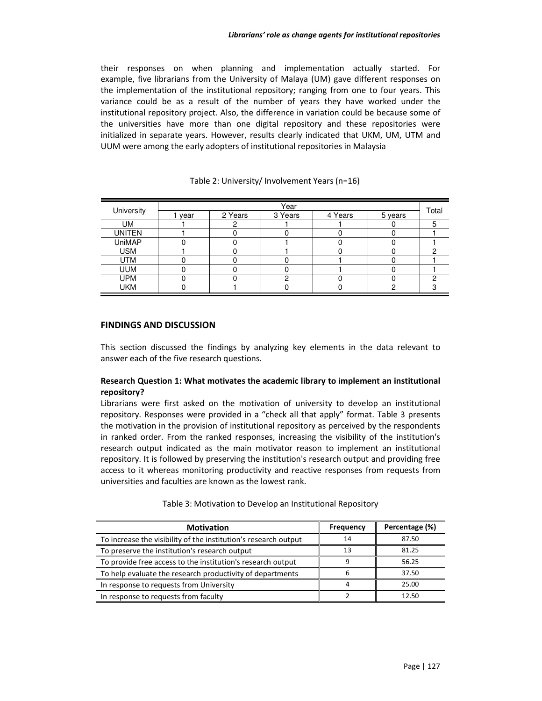their responses on when planning and implementation actually started. For example, five librarians from the University of Malaya (UM) gave different responses on the implementation of the institutional repository; ranging from one to four years. This variance could be as a result of the number of years they have worked under the institutional repository project. Also, the difference in variation could be because some of the universities have more than one digital repository and these repositories were initialized in separate years. However, results clearly indicated that UKM, UM, UTM and UUM were among the early adopters of institutional repositories in Malaysia

|               | Year |         |         |                      |         |       |
|---------------|------|---------|---------|----------------------|---------|-------|
| University    | year | 2 Years | 3 Years | $\overline{4}$ Years | 5 years | Total |
| UM            |      |         |         |                      |         | 5     |
| <b>UNITEN</b> |      |         |         |                      |         |       |
| <b>UniMAP</b> |      |         |         |                      |         |       |
| <b>USM</b>    |      |         |         |                      |         | C     |
| UTM           |      |         |         |                      |         |       |
| <b>UUM</b>    |      |         |         |                      |         |       |
| <b>UPM</b>    |      |         |         |                      |         | C     |
| <b>UKM</b>    |      |         |         |                      | ົ       | റ     |

#### Table 2: University/ Involvement Years (n=16)

#### **FINDINGS AND DISCUSSION**

This section discussed the findings by analyzing key elements in the data relevant to answer each of the five research questions.

## **Research Question 1: What motivates the academic library to implement an institutional repository?**

Librarians were first asked on the motivation of university to develop an institutional repository. Responses were provided in a "check all that apply" format. Table 3 presents the motivation in the provision of institutional repository as perceived by the respondents in ranked order. From the ranked responses, increasing the visibility of the institution's research output indicated as the main motivator reason to implement an institutional repository. It is followed by preserving the institution's research output and providing free access to it whereas monitoring productivity and reactive responses from requests from universities and faculties are known as the lowest rank.

| <b>Motivation</b>                                               | Frequency | Percentage (%) |
|-----------------------------------------------------------------|-----------|----------------|
| To increase the visibility of the institution's research output | 14        | 87.50          |
| To preserve the institution's research output                   | 13        | 81.25          |
| To provide free access to the institution's research output     | q         | 56.25          |
| To help evaluate the research productivity of departments       |           | 37.50          |
| In response to requests from University                         |           | 25.00          |
| In response to requests from faculty                            |           | 12.50          |

Table 3: Motivation to Develop an Institutional Repository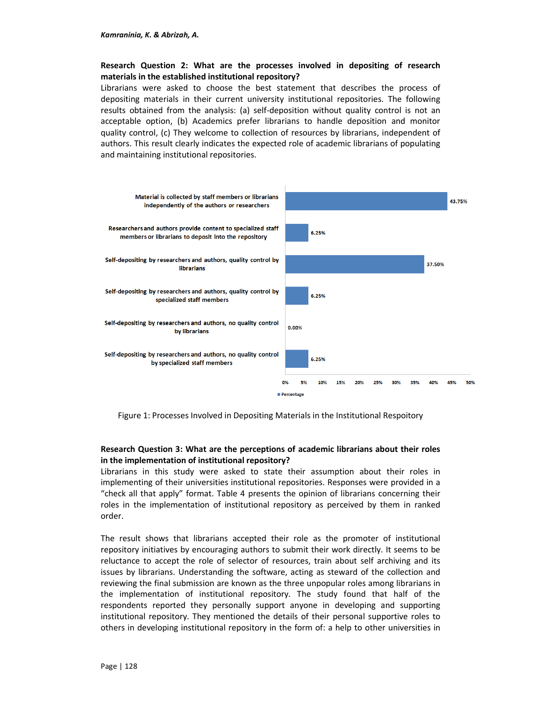## **Research Question 2: What are the processes involved in depositing of research materials in the established institutional repository?**

Librarians were asked to choose the best statement that describes the process of depositing materials in their current university institutional repositories. The following results obtained from the analysis: (a) self-deposition without quality control is not an acceptable option, (b) Academics prefer librarians to handle deposition and monitor quality control, (c) They welcome to collection of resources by librarians, independent of authors. This result clearly indicates the expected role of academic librarians of populating and maintaining institutional repositories.



Figure 1: Processes Involved in Depositing Materials in the Institutional Respoitory

# **Research Question 3: What are the perceptions of academic librarians about their roles in the implementation of institutional repository?**

Librarians in this study were asked to state their assumption about their roles in implementing of their universities institutional repositories. Responses were provided in a "check all that apply" format. Table 4 presents the opinion of librarians concerning their roles in the implementation of institutional repository as perceived by them in ranked order.

The result shows that librarians accepted their role as the promoter of institutional repository initiatives by encouraging authors to submit their work directly. It seems to be reluctance to accept the role of selector of resources, train about self archiving and its issues by librarians. Understanding the software, acting as steward of the collection and reviewing the final submission are known as the three unpopular roles among librarians in the implementation of institutional repository. The study found that half of the respondents reported they personally support anyone in developing and supporting institutional repository. They mentioned the details of their personal supportive roles to others in developing institutional repository in the form of: a help to other universities in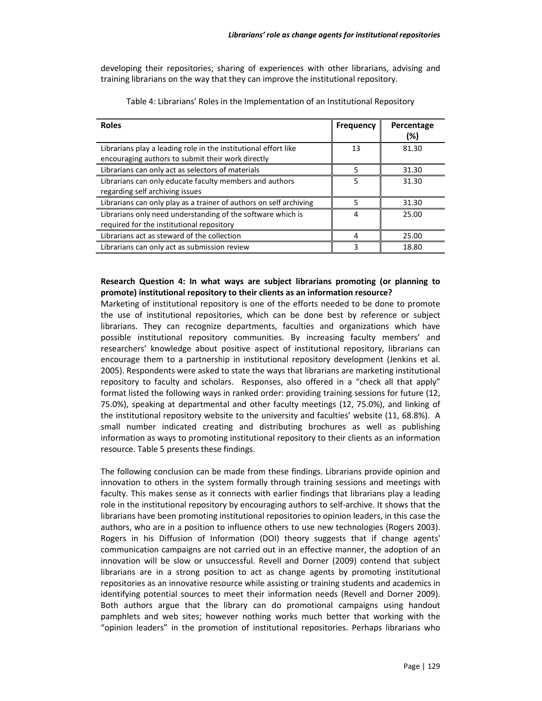developing their repositories; sharing of experiences with other librarians, advising and training librarians on the way that they can improve the institutional repository.

| <b>Roles</b>                                                                                                         | <b>Frequency</b> | Percentage<br>(%) |
|----------------------------------------------------------------------------------------------------------------------|------------------|-------------------|
| Librarians play a leading role in the institutional effort like<br>encouraging authors to submit their work directly | 13               | 81.30             |
| Librarians can only act as selectors of materials                                                                    | 5                | 31.30             |
| Librarians can only educate faculty members and authors<br>regarding self archiving issues                           | 5                | 31.30             |
| Librarians can only play as a trainer of authors on self archiving                                                   | 5                | 31.30             |
| Librarians only need understanding of the software which is<br>required for the institutional repository             | 4                | 25.00             |
| Librarians act as steward of the collection                                                                          |                  | 25.00             |
| Librarians can only act as submission review                                                                         |                  | 18.80             |

Table 4: Librarians' Roles in the Implementation of an Institutional Repository

### **Research Question 4: In what ways are subject librarians promoting (or planning to promote) institutional repository to their clients as an information resource?**

Marketing of institutional repository is one of the efforts needed to be done to promote the use of institutional repositories, which can be done best by reference or subject librarians. They can recognize departments, faculties and organizations which have possible institutional repository communities. By increasing faculty members' and researchers' knowledge about positive aspect of institutional repository, librarians can encourage them to a partnership in institutional repository development (Jenkins et al. 2005). Respondents were asked to state the ways that librarians are marketing institutional repository to faculty and scholars. Responses, also offered in a "check all that apply" format listed the following ways in ranked order: providing training sessions for future (12, 75.0%), speaking at departmental and other faculty meetings (12, 75.0%), and linking of the institutional repository website to the university and faculties' website (11, 68.8%). A small number indicated creating and distributing brochures as well as publishing information as ways to promoting institutional repository to their clients as an information resource. Table 5 presents these findings.

The following conclusion can be made from these findings. Librarians provide opinion and innovation to others in the system formally through training sessions and meetings with faculty. This makes sense as it connects with earlier findings that librarians play a leading role in the institutional repository by encouraging authors to self-archive. It shows that the librarians have been promoting institutional repositories to opinion leaders, in this case the authors, who are in a position to influence others to use new technologies (Rogers 2003). Rogers in his Diffusion of Information (DOI) theory suggests that if change agents' communication campaigns are not carried out in an effective manner, the adoption of an innovation will be slow or unsuccessful. Revell and Dorner (2009) contend that subject librarians are in a strong position to act as change agents by promoting institutional repositories as an innovative resource while assisting or training students and academics in identifying potential sources to meet their information needs (Revell and Dorner 2009). Both authors argue that the library can do promotional campaigns using handout pamphlets and web sites; however nothing works much better that working with the "opinion leaders" in the promotion of institutional repositories. Perhaps librarians who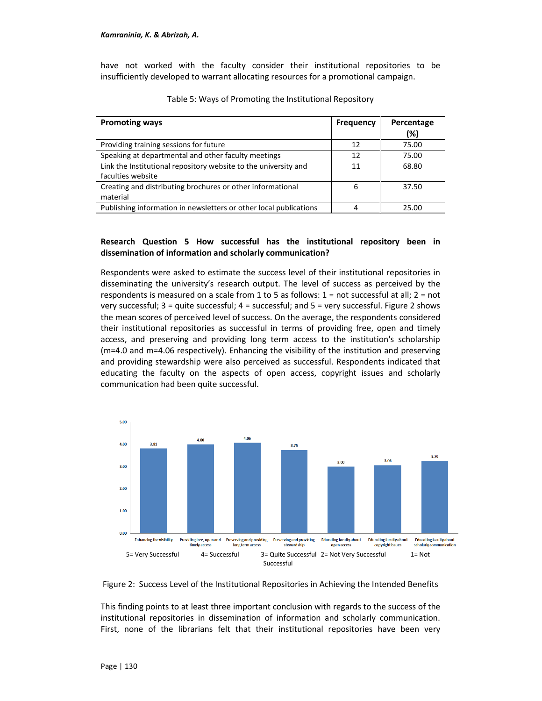have not worked with the faculty consider their institutional repositories to be insufficiently developed to warrant allocating resources for a promotional campaign.

| <b>Promoting ways</b>                                                                | <b>Frequency</b> | Percentage<br>(%) |
|--------------------------------------------------------------------------------------|------------------|-------------------|
| Providing training sessions for future                                               | 12               | 75.00             |
| Speaking at departmental and other faculty meetings                                  | 12               | 75.00             |
| Link the Institutional repository website to the university and<br>faculties website | 11               | 68.80             |
| Creating and distributing brochures or other informational<br>material               | 6                | 37.50             |
| Publishing information in newsletters or other local publications                    |                  | 25.00             |

Table 5: Ways of Promoting the Institutional Repository

#### **Research Question 5 How successful has the institutional repository been in dissemination of information and scholarly communication?**

Respondents were asked to estimate the success level of their institutional repositories in disseminating the university's research output. The level of success as perceived by the respondents is measured on a scale from 1 to 5 as follows: 1 = not successful at all; 2 = not very successful; 3 = quite successful; 4 = successful; and 5 = very successful. Figure 2 shows the mean scores of perceived level of success. On the average, the respondents considered their institutional repositories as successful in terms of providing free, open and timely access, and preserving and providing long term access to the institution's scholarship (m=4.0 and m=4.06 respectively). Enhancing the visibility of the institution and preserving and providing stewardship were also perceived as successful. Respondents indicated that educating the faculty on the aspects of open access, copyright issues and scholarly communication had been quite successful.





This finding points to at least three important conclusion with regards to the success of the institutional repositories in dissemination of information and scholarly communication. First, none of the librarians felt that their institutional repositories have been very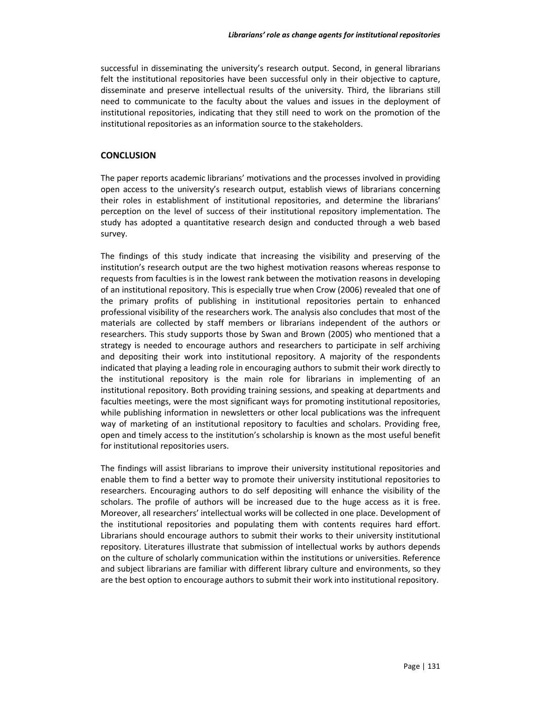successful in disseminating the university's research output. Second, in general librarians felt the institutional repositories have been successful only in their objective to capture, disseminate and preserve intellectual results of the university. Third, the librarians still need to communicate to the faculty about the values and issues in the deployment of institutional repositories, indicating that they still need to work on the promotion of the institutional repositories as an information source to the stakeholders.

## **CONCLUSION**

The paper reports academic librarians' motivations and the processes involved in providing open access to the university's research output, establish views of librarians concerning their roles in establishment of institutional repositories, and determine the librarians' perception on the level of success of their institutional repository implementation. The study has adopted a quantitative research design and conducted through a web based survey.

The findings of this study indicate that increasing the visibility and preserving of the institution's research output are the two highest motivation reasons whereas response to requests from faculties is in the lowest rank between the motivation reasons in developing of an institutional repository. This is especially true when Crow (2006) revealed that one of the primary profits of publishing in institutional repositories pertain to enhanced professional visibility of the researchers work. The analysis also concludes that most of the materials are collected by staff members or librarians independent of the authors or researchers. This study supports those by Swan and Brown (2005) who mentioned that a strategy is needed to encourage authors and researchers to participate in self archiving and depositing their work into institutional repository. A majority of the respondents indicated that playing a leading role in encouraging authors to submit their work directly to the institutional repository is the main role for librarians in implementing of an institutional repository. Both providing training sessions, and speaking at departments and faculties meetings, were the most significant ways for promoting institutional repositories, while publishing information in newsletters or other local publications was the infrequent way of marketing of an institutional repository to faculties and scholars. Providing free, open and timely access to the institution's scholarship is known as the most useful benefit for institutional repositories users.

The findings will assist librarians to improve their university institutional repositories and enable them to find a better way to promote their university institutional repositories to researchers. Encouraging authors to do self depositing will enhance the visibility of the scholars. The profile of authors will be increased due to the huge access as it is free. Moreover, all researchers' intellectual works will be collected in one place. Development of the institutional repositories and populating them with contents requires hard effort. Librarians should encourage authors to submit their works to their university institutional repository. Literatures illustrate that submission of intellectual works by authors depends on the culture of scholarly communication within the institutions or universities. Reference and subject librarians are familiar with different library culture and environments, so they are the best option to encourage authors to submit their work into institutional repository.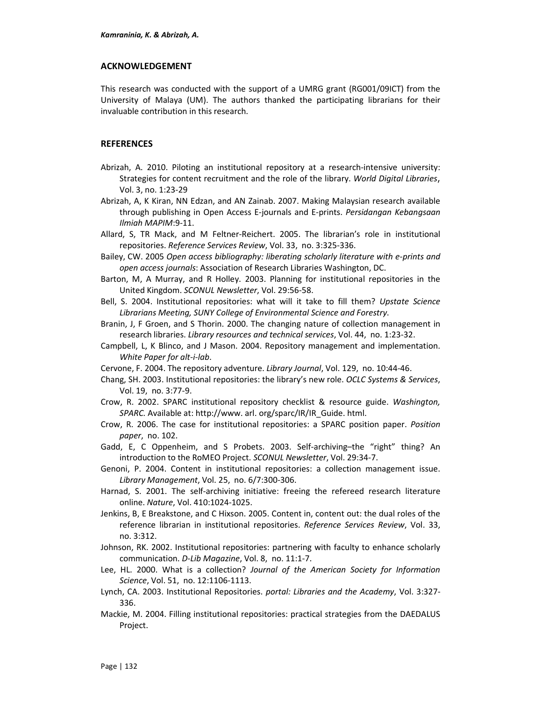### **ACKNOWLEDGEMENT**

This research was conducted with the support of a UMRG grant (RG001/09ICT) from the University of Malaya (UM). The authors thanked the participating librarians for their invaluable contribution in this research.

## **REFERENCES**

- Abrizah, A. 2010. Piloting an institutional repository at a research-intensive university: Strategies for content recruitment and the role of the library. *World Digital Libraries*, Vol. 3, no. 1:23-29
- Abrizah, A, K Kiran, NN Edzan, and AN Zainab. 2007. Making Malaysian research available through publishing in Open Access E-journals and E-prints. *Persidangan Kebangsaan Ilmiah MAPIM*:9-11.
- Allard, S, TR Mack, and M Feltner-Reichert. 2005. The librarian's role in institutional repositories. *Reference Services Review*, Vol. 33, no. 3:325-336.
- Bailey, CW. 2005 *Open access bibliography: liberating scholarly literature with e-prints and open access journals*: Association of Research Libraries Washington, DC.
- Barton, M, A Murray, and R Holley. 2003. Planning for institutional repositories in the United Kingdom. *SCONUL Newsletter*, Vol. 29:56-58.
- Bell, S. 2004. Institutional repositories: what will it take to fill them? *Upstate Science Librarians Meeting, SUNY College of Environmental Science and Forestry*.
- Branin, J, F Groen, and S Thorin. 2000. The changing nature of collection management in research libraries. *Library resources and technical services*, Vol. 44, no. 1:23-32.
- Campbell, L, K Blinco, and J Mason. 2004. Repository management and implementation. *White Paper for alt-i-lab*.
- Cervone, F. 2004. The repository adventure. *Library Journal*, Vol. 129, no. 10:44-46.
- Chang, SH. 2003. Institutional repositories: the library's new role. *OCLC Systems & Services*, Vol. 19, no. 3:77-9.
- Crow, R. 2002. SPARC institutional repository checklist & resource guide. *Washington, SPARC.* Available at: http://www. arl. org/sparc/IR/IR\_Guide. html.
- Crow, R. 2006. The case for institutional repositories: a SPARC position paper. *Position paper*, no. 102.
- Gadd, E, C Oppenheim, and S Probets. 2003. Self-archiving–the "right" thing? An introduction to the RoMEO Project. *SCONUL Newsletter*, Vol. 29:34-7.
- Genoni, P. 2004. Content in institutional repositories: a collection management issue. *Library Management*, Vol. 25, no. 6/7:300-306.
- Harnad, S. 2001. The self-archiving initiative: freeing the refereed research literature online. *Nature*, Vol. 410:1024-1025.
- Jenkins, B, E Breakstone, and C Hixson. 2005. Content in, content out: the dual roles of the reference librarian in institutional repositories. *Reference Services Review*, Vol. 33, no. 3:312.
- Johnson, RK. 2002. Institutional repositories: partnering with faculty to enhance scholarly communication. *D-Lib Magazine*, Vol. 8, no. 11:1-7.
- Lee, HL. 2000. What is a collection? *Journal of the American Society for Information Science*, Vol. 51, no. 12:1106-1113.
- Lynch, CA. 2003. Institutional Repositories. *portal: Libraries and the Academy*, Vol. 3:327- 336.
- Mackie, M. 2004. Filling institutional repositories: practical strategies from the DAEDALUS Project.